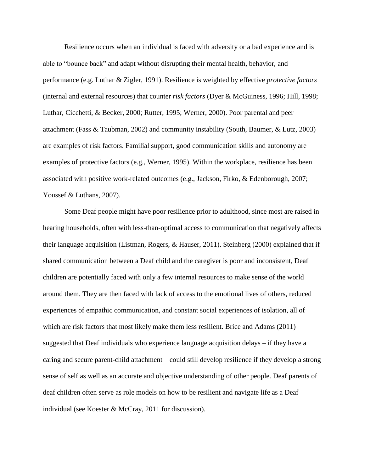Resilience occurs when an individual is faced with adversity or a bad experience and is able to "bounce back" and adapt without disrupting their mental health, behavior, and performance (e.g. Luthar & Zigler, 1991). Resilience is weighted by effective *protective factors* (internal and external resources) that counter *risk factors* (Dyer & McGuiness, 1996; Hill, 1998; Luthar, Cicchetti, & Becker, 2000; Rutter, 1995; Werner, 2000). Poor parental and peer attachment (Fass & Taubman, 2002) and community instability (South, Baumer, & Lutz, 2003) are examples of risk factors. Familial support, good communication skills and autonomy are examples of protective factors (e.g., Werner, 1995). Within the workplace, resilience has been associated with positive work-related outcomes (e.g., Jackson, Firko, & Edenborough, 2007; Youssef & Luthans, 2007).

Some Deaf people might have poor resilience prior to adulthood, since most are raised in hearing households, often with less-than-optimal access to communication that negatively affects their language acquisition (Listman, Rogers, & Hauser, 2011). Steinberg (2000) explained that if shared communication between a Deaf child and the caregiver is poor and inconsistent, Deaf children are potentially faced with only a few internal resources to make sense of the world around them. They are then faced with lack of access to the emotional lives of others, reduced experiences of empathic communication, and constant social experiences of isolation, all of which are risk factors that most likely make them less resilient. Brice and Adams (2011) suggested that Deaf individuals who experience language acquisition delays – if they have a caring and secure parent-child attachment – could still develop resilience if they develop a strong sense of self as well as an accurate and objective understanding of other people. Deaf parents of deaf children often serve as role models on how to be resilient and navigate life as a Deaf individual (see Koester & McCray, 2011 for discussion).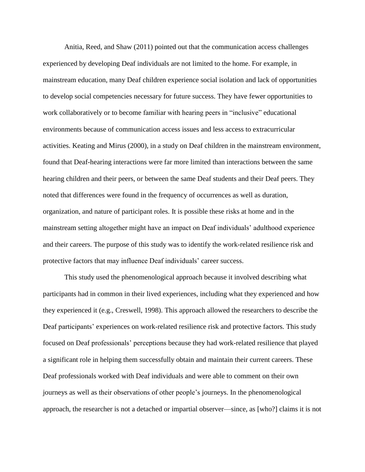Anitia, Reed, and Shaw (2011) pointed out that the communication access challenges experienced by developing Deaf individuals are not limited to the home. For example, in mainstream education, many Deaf children experience social isolation and lack of opportunities to develop social competencies necessary for future success. They have fewer opportunities to work collaboratively or to become familiar with hearing peers in "inclusive" educational environments because of communication access issues and less access to extracurricular activities. Keating and Mirus (2000), in a study on Deaf children in the mainstream environment, found that Deaf-hearing interactions were far more limited than interactions between the same hearing children and their peers, or between the same Deaf students and their Deaf peers. They noted that differences were found in the frequency of occurrences as well as duration, organization, and nature of participant roles. It is possible these risks at home and in the mainstream setting altogether might have an impact on Deaf individuals' adulthood experience and their careers. The purpose of this study was to identify the work-related resilience risk and protective factors that may influence Deaf individuals' career success.

This study used the phenomenological approach because it involved describing what participants had in common in their lived experiences, including what they experienced and how they experienced it (e.g., Creswell, 1998). This approach allowed the researchers to describe the Deaf participants' experiences on work-related resilience risk and protective factors. This study focused on Deaf professionals' perceptions because they had work-related resilience that played a significant role in helping them successfully obtain and maintain their current careers. These Deaf professionals worked with Deaf individuals and were able to comment on their own journeys as well as their observations of other people's journeys. In the phenomenological approach, the researcher is not a detached or impartial observer—since, as [who?] claims it is not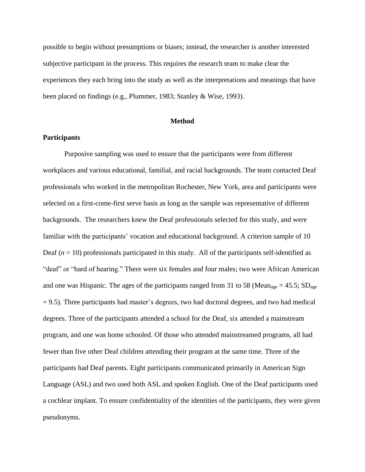possible to begin without presumptions or biases; instead, the researcher is another interested subjective participant in the process. This requires the research team to make clear the experiences they each bring into the study as well as the interpretations and meanings that have been placed on findings (e.g., Plummer, 1983; Stanley & Wise, 1993).

#### **Method**

# **Participants**

Purposive sampling was used to ensure that the participants were from different workplaces and various educational, familial, and racial backgrounds. The team contacted Deaf professionals who worked in the metropolitan Rochester, New York, area and participants were selected on a first-come-first serve basis as long as the sample was representative of different backgrounds. The researchers knew the Deaf professionals selected for this study, and were familiar with the participants' vocation and educational background. A criterion sample of 10 Deaf  $(n = 10)$  professionals participated in this study. All of the participants self-identified as "deaf" or "hard of hearing." There were six females and four males; two were African American and one was Hispanic. The ages of the participants ranged from 31 to 58 (Mean<sub>age</sub> = 45.5; SD<sub>age</sub>  $= 9.5$ ). Three participants had master's degrees, two had doctoral degrees, and two had medical degrees. Three of the participants attended a school for the Deaf, six attended a mainstream program, and one was home schooled. Of those who attended mainstreamed programs, all had fewer than five other Deaf children attending their program at the same time. Three of the participants had Deaf parents. Eight participants communicated primarily in American Sign Language (ASL) and two used both ASL and spoken English. One of the Deaf participants used a cochlear implant. To ensure confidentiality of the identities of the participants, they were given pseudonyms.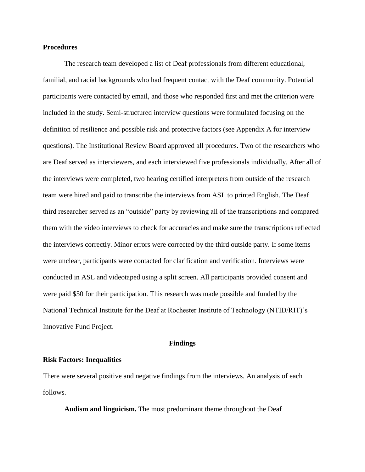## **Procedures**

The research team developed a list of Deaf professionals from different educational, familial, and racial backgrounds who had frequent contact with the Deaf community. Potential participants were contacted by email, and those who responded first and met the criterion were included in the study. Semi-structured interview questions were formulated focusing on the definition of resilience and possible risk and protective factors (see Appendix A for interview questions). The Institutional Review Board approved all procedures. Two of the researchers who are Deaf served as interviewers, and each interviewed five professionals individually. After all of the interviews were completed, two hearing certified interpreters from outside of the research team were hired and paid to transcribe the interviews from ASL to printed English. The Deaf third researcher served as an "outside" party by reviewing all of the transcriptions and compared them with the video interviews to check for accuracies and make sure the transcriptions reflected the interviews correctly. Minor errors were corrected by the third outside party. If some items were unclear, participants were contacted for clarification and verification. Interviews were conducted in ASL and videotaped using a split screen. All participants provided consent and were paid \$50 for their participation. This research was made possible and funded by the National Technical Institute for the Deaf at Rochester Institute of Technology (NTID/RIT)'s Innovative Fund Project.

#### **Findings**

# **Risk Factors: Inequalities**

There were several positive and negative findings from the interviews. An analysis of each follows.

**Audism and linguicism.** The most predominant theme throughout the Deaf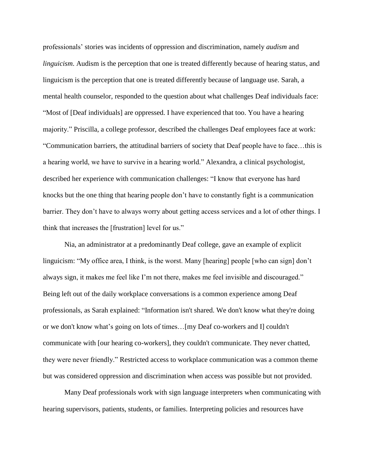professionals' stories was incidents of oppression and discrimination, namely *audism* and *linguicism*. Audism is the perception that one is treated differently because of hearing status, and linguicism is the perception that one is treated differently because of language use. Sarah, a mental health counselor, responded to the question about what challenges Deaf individuals face: "Most of [Deaf individuals] are oppressed. I have experienced that too. You have a hearing majority." Priscilla, a college professor, described the challenges Deaf employees face at work: "Communication barriers, the attitudinal barriers of society that Deaf people have to face…this is a hearing world, we have to survive in a hearing world." Alexandra, a clinical psychologist, described her experience with communication challenges: "I know that everyone has hard knocks but the one thing that hearing people don't have to constantly fight is a communication barrier. They don't have to always worry about getting access services and a lot of other things. I think that increases the [frustration] level for us."

Nia, an administrator at a predominantly Deaf college, gave an example of explicit linguicism: "My office area, I think, is the worst. Many [hearing] people [who can sign] don't always sign, it makes me feel like I'm not there, makes me feel invisible and discouraged." Being left out of the daily workplace conversations is a common experience among Deaf professionals, as Sarah explained: "Information isn't shared. We don't know what they're doing or we don't know what's going on lots of times…[my Deaf co-workers and I] couldn't communicate with [our hearing co-workers], they couldn't communicate. They never chatted, they were never friendly." Restricted access to workplace communication was a common theme but was considered oppression and discrimination when access was possible but not provided.

Many Deaf professionals work with sign language interpreters when communicating with hearing supervisors, patients, students, or families. Interpreting policies and resources have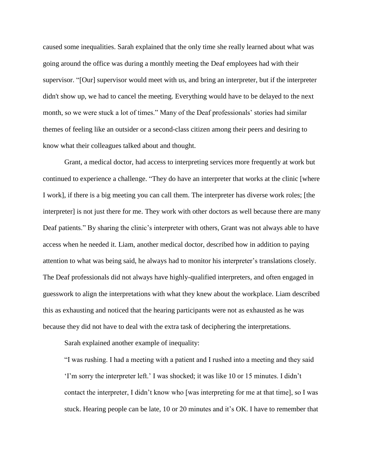caused some inequalities. Sarah explained that the only time she really learned about what was going around the office was during a monthly meeting the Deaf employees had with their supervisor. "[Our] supervisor would meet with us, and bring an interpreter, but if the interpreter didn't show up, we had to cancel the meeting. Everything would have to be delayed to the next month, so we were stuck a lot of times." Many of the Deaf professionals' stories had similar themes of feeling like an outsider or a second-class citizen among their peers and desiring to know what their colleagues talked about and thought.

Grant, a medical doctor, had access to interpreting services more frequently at work but continued to experience a challenge. "They do have an interpreter that works at the clinic [where I work], if there is a big meeting you can call them. The interpreter has diverse work roles; [the interpreter] is not just there for me. They work with other doctors as well because there are many Deaf patients." By sharing the clinic's interpreter with others, Grant was not always able to have access when he needed it. Liam, another medical doctor, described how in addition to paying attention to what was being said, he always had to monitor his interpreter's translations closely. The Deaf professionals did not always have highly-qualified interpreters, and often engaged in guesswork to align the interpretations with what they knew about the workplace. Liam described this as exhausting and noticed that the hearing participants were not as exhausted as he was because they did not have to deal with the extra task of deciphering the interpretations.

Sarah explained another example of inequality:

"I was rushing. I had a meeting with a patient and I rushed into a meeting and they said 'I'm sorry the interpreter left.' I was shocked; it was like 10 or 15 minutes. I didn't contact the interpreter, I didn't know who [was interpreting for me at that time], so I was stuck. Hearing people can be late, 10 or 20 minutes and it's OK. I have to remember that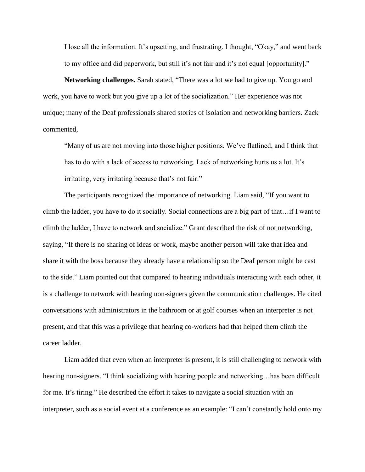I lose all the information. It's upsetting, and frustrating. I thought, "Okay," and went back to my office and did paperwork, but still it's not fair and it's not equal [opportunity]."

**Networking challenges.** Sarah stated, "There was a lot we had to give up. You go and work, you have to work but you give up a lot of the socialization." Her experience was not unique; many of the Deaf professionals shared stories of isolation and networking barriers. Zack commented,

"Many of us are not moving into those higher positions. We've flatlined, and I think that has to do with a lack of access to networking. Lack of networking hurts us a lot. It's irritating, very irritating because that's not fair."

The participants recognized the importance of networking. Liam said, "If you want to climb the ladder, you have to do it socially. Social connections are a big part of that…if I want to climb the ladder, I have to network and socialize." Grant described the risk of not networking, saying, "If there is no sharing of ideas or work, maybe another person will take that idea and share it with the boss because they already have a relationship so the Deaf person might be cast to the side." Liam pointed out that compared to hearing individuals interacting with each other, it is a challenge to network with hearing non-signers given the communication challenges. He cited conversations with administrators in the bathroom or at golf courses when an interpreter is not present, and that this was a privilege that hearing co-workers had that helped them climb the career ladder.

Liam added that even when an interpreter is present, it is still challenging to network with hearing non-signers. "I think socializing with hearing people and networking... has been difficult for me. It's tiring." He described the effort it takes to navigate a social situation with an interpreter, such as a social event at a conference as an example: "I can't constantly hold onto my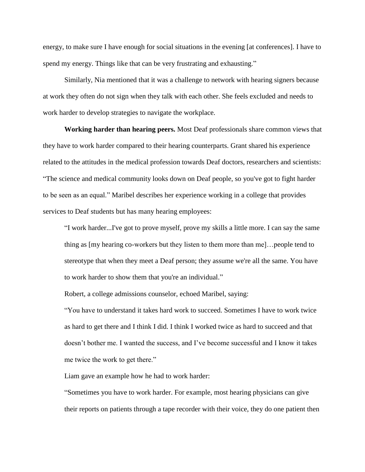energy, to make sure I have enough for social situations in the evening [at conferences]. I have to spend my energy. Things like that can be very frustrating and exhausting."

Similarly, Nia mentioned that it was a challenge to network with hearing signers because at work they often do not sign when they talk with each other. She feels excluded and needs to work harder to develop strategies to navigate the workplace.

**Working harder than hearing peers.** Most Deaf professionals share common views that they have to work harder compared to their hearing counterparts. Grant shared his experience related to the attitudes in the medical profession towards Deaf doctors, researchers and scientists: "The science and medical community looks down on Deaf people, so you've got to fight harder to be seen as an equal." Maribel describes her experience working in a college that provides services to Deaf students but has many hearing employees:

"I work harder...I've got to prove myself, prove my skills a little more. I can say the same thing as [my hearing co-workers but they listen to them more than me]…people tend to stereotype that when they meet a Deaf person; they assume we're all the same. You have to work harder to show them that you're an individual."

Robert, a college admissions counselor, echoed Maribel, saying:

"You have to understand it takes hard work to succeed. Sometimes I have to work twice as hard to get there and I think I did. I think I worked twice as hard to succeed and that doesn't bother me. I wanted the success, and I've become successful and I know it takes me twice the work to get there."

Liam gave an example how he had to work harder:

"Sometimes you have to work harder. For example, most hearing physicians can give their reports on patients through a tape recorder with their voice, they do one patient then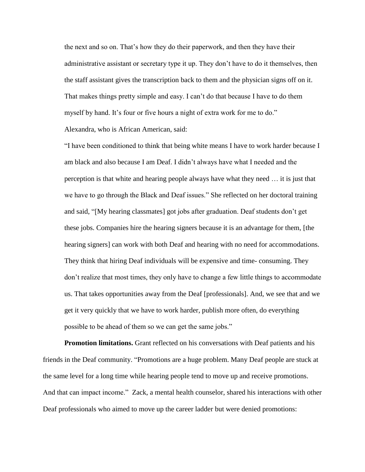the next and so on. That's how they do their paperwork, and then they have their administrative assistant or secretary type it up. They don't have to do it themselves, then the staff assistant gives the transcription back to them and the physician signs off on it. That makes things pretty simple and easy. I can't do that because I have to do them myself by hand. It's four or five hours a night of extra work for me to do." Alexandra, who is African American, said:

"I have been conditioned to think that being white means I have to work harder because I am black and also because I am Deaf. I didn't always have what I needed and the perception is that white and hearing people always have what they need … it is just that we have to go through the Black and Deaf issues." She reflected on her doctoral training and said, "[My hearing classmates] got jobs after graduation. Deaf students don't get these jobs. Companies hire the hearing signers because it is an advantage for them, [the hearing signers] can work with both Deaf and hearing with no need for accommodations. They think that hiring Deaf individuals will be expensive and time- consuming. They don't realize that most times, they only have to change a few little things to accommodate us. That takes opportunities away from the Deaf [professionals]. And, we see that and we get it very quickly that we have to work harder, publish more often, do everything possible to be ahead of them so we can get the same jobs."

**Promotion limitations.** Grant reflected on his conversations with Deaf patients and his friends in the Deaf community. "Promotions are a huge problem. Many Deaf people are stuck at the same level for a long time while hearing people tend to move up and receive promotions. And that can impact income." Zack, a mental health counselor, shared his interactions with other Deaf professionals who aimed to move up the career ladder but were denied promotions: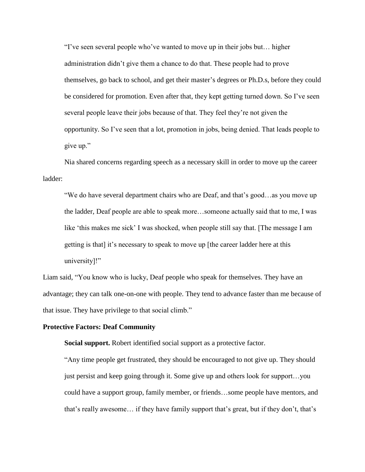"I've seen several people who've wanted to move up in their jobs but… higher administration didn't give them a chance to do that. These people had to prove themselves, go back to school, and get their master's degrees or Ph.D.s, before they could be considered for promotion. Even after that, they kept getting turned down. So I've seen several people leave their jobs because of that. They feel they're not given the opportunity. So I've seen that a lot, promotion in jobs, being denied. That leads people to give up."

Nia shared concerns regarding speech as a necessary skill in order to move up the career ladder:

"We do have several department chairs who are Deaf, and that's good…as you move up the ladder, Deaf people are able to speak more…someone actually said that to me, I was like 'this makes me sick' I was shocked, when people still say that. [The message I am getting is that] it's necessary to speak to move up [the career ladder here at this university]!"

Liam said, "You know who is lucky, Deaf people who speak for themselves. They have an advantage; they can talk one-on-one with people. They tend to advance faster than me because of that issue. They have privilege to that social climb."

### **Protective Factors: Deaf Community**

**Social support.** Robert identified social support as a protective factor.

"Any time people get frustrated, they should be encouraged to not give up. They should just persist and keep going through it. Some give up and others look for support…you could have a support group, family member, or friends…some people have mentors, and that's really awesome… if they have family support that's great, but if they don't, that's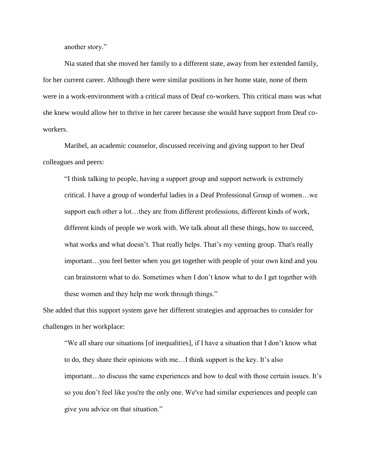another story."

Nia stated that she moved her family to a different state, away from her extended family, for her current career. Although there were similar positions in her home state, none of them were in a work-environment with a critical mass of Deaf co-workers. This critical mass was what she knew would allow her to thrive in her career because she would have support from Deaf coworkers.

Maribel, an academic counselor, discussed receiving and giving support to her Deaf colleagues and peers:

"I think talking to people, having a support group and support network is extremely critical. I have a group of wonderful ladies in a Deaf Professional Group of women…we support each other a lot…they are from different professions, different kinds of work, different kinds of people we work with. We talk about all these things, how to succeed, what works and what doesn't. That really helps. That's my venting group. That's really important…you feel better when you get together with people of your own kind and you can brainstorm what to do. Sometimes when I don't know what to do I get together with these women and they help me work through things."

She added that this support system gave her different strategies and approaches to consider for challenges in her workplace:

"We all share our situations [of inequalities], if I have a situation that I don't know what to do, they share their opinions with me…I think support is the key. It's also important…to discuss the same experiences and how to deal with those certain issues. It's so you don't feel like you're the only one. We've had similar experiences and people can give you advice on that situation."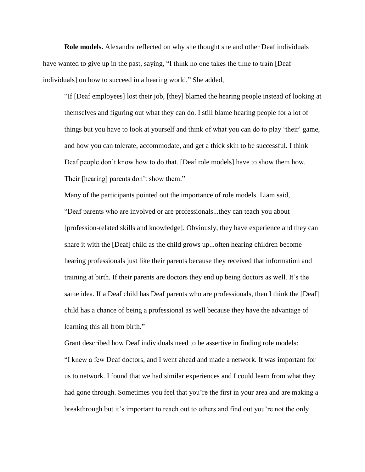**Role models.** Alexandra reflected on why she thought she and other Deaf individuals have wanted to give up in the past, saying, "I think no one takes the time to train [Deaf individuals] on how to succeed in a hearing world." She added,

"If [Deaf employees] lost their job, [they] blamed the hearing people instead of looking at themselves and figuring out what they can do. I still blame hearing people for a lot of things but you have to look at yourself and think of what you can do to play 'their' game, and how you can tolerate, accommodate, and get a thick skin to be successful. I think Deaf people don't know how to do that. [Deaf role models] have to show them how. Their [hearing] parents don't show them."

Many of the participants pointed out the importance of role models. Liam said, "Deaf parents who are involved or are professionals...they can teach you about [profession-related skills and knowledge]. Obviously, they have experience and they can share it with the [Deaf] child as the child grows up...often hearing children become hearing professionals just like their parents because they received that information and training at birth. If their parents are doctors they end up being doctors as well. It's the same idea. If a Deaf child has Deaf parents who are professionals, then I think the [Deaf] child has a chance of being a professional as well because they have the advantage of learning this all from birth."

Grant described how Deaf individuals need to be assertive in finding role models: "I knew a few Deaf doctors, and I went ahead and made a network. It was important for us to network. I found that we had similar experiences and I could learn from what they had gone through. Sometimes you feel that you're the first in your area and are making a breakthrough but it's important to reach out to others and find out you're not the only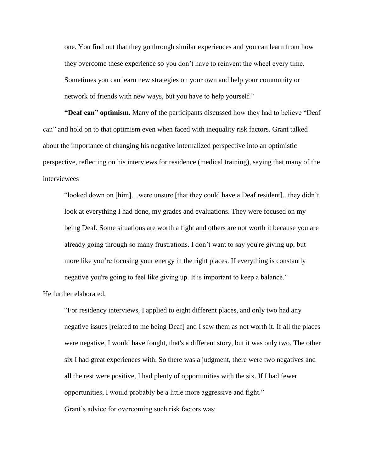one. You find out that they go through similar experiences and you can learn from how they overcome these experience so you don't have to reinvent the wheel every time. Sometimes you can learn new strategies on your own and help your community or network of friends with new ways, but you have to help yourself."

**"Deaf can" optimism.** Many of the participants discussed how they had to believe "Deaf can" and hold on to that optimism even when faced with inequality risk factors. Grant talked about the importance of changing his negative internalized perspective into an optimistic perspective, reflecting on his interviews for residence (medical training), saying that many of the interviewees

"looked down on [him]…were unsure [that they could have a Deaf resident]...they didn't look at everything I had done, my grades and evaluations. They were focused on my being Deaf. Some situations are worth a fight and others are not worth it because you are already going through so many frustrations. I don't want to say you're giving up, but more like you're focusing your energy in the right places. If everything is constantly negative you're going to feel like giving up. It is important to keep a balance."

He further elaborated,

"For residency interviews, I applied to eight different places, and only two had any negative issues [related to me being Deaf] and I saw them as not worth it. If all the places were negative, I would have fought, that's a different story, but it was only two. The other six I had great experiences with. So there was a judgment, there were two negatives and all the rest were positive, I had plenty of opportunities with the six. If I had fewer opportunities, I would probably be a little more aggressive and fight."

Grant's advice for overcoming such risk factors was: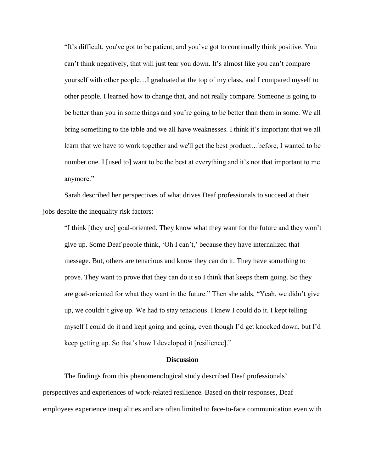"It's difficult, you've got to be patient, and you've got to continually think positive. You can't think negatively, that will just tear you down. It's almost like you can't compare yourself with other people…I graduated at the top of my class, and I compared myself to other people. I learned how to change that, and not really compare. Someone is going to be better than you in some things and you're going to be better than them in some. We all bring something to the table and we all have weaknesses. I think it's important that we all learn that we have to work together and we'll get the best product…before, I wanted to be number one. I [used to] want to be the best at everything and it's not that important to me anymore."

Sarah described her perspectives of what drives Deaf professionals to succeed at their jobs despite the inequality risk factors:

"I think [they are] goal-oriented. They know what they want for the future and they won't give up. Some Deaf people think, 'Oh I can't,' because they have internalized that message. But, others are tenacious and know they can do it. They have something to prove. They want to prove that they can do it so I think that keeps them going. So they are goal-oriented for what they want in the future." Then she adds, "Yeah, we didn't give up, we couldn't give up. We had to stay tenacious. I knew I could do it. I kept telling myself I could do it and kept going and going, even though I'd get knocked down, but I'd keep getting up. So that's how I developed it [resilience]."

## **Discussion**

The findings from this phenomenological study described Deaf professionals' perspectives and experiences of work-related resilience. Based on their responses, Deaf employees experience inequalities and are often limited to face-to-face communication even with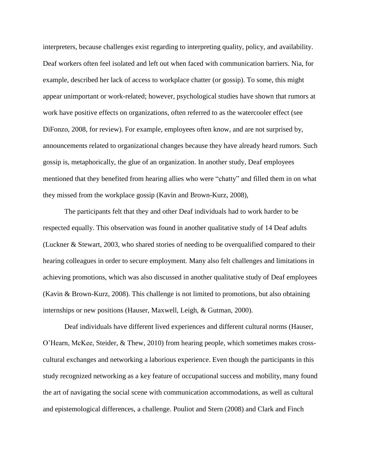interpreters, because challenges exist regarding to interpreting quality, policy, and availability. Deaf workers often feel isolated and left out when faced with communication barriers. Nia, for example, described her lack of access to workplace chatter (or gossip). To some, this might appear unimportant or work-related; however, psychological studies have shown that rumors at work have positive effects on organizations, often referred to as the watercooler effect (see DiFonzo, 2008, for review). For example, employees often know, and are not surprised by, announcements related to organizational changes because they have already heard rumors. Such gossip is, metaphorically, the glue of an organization. In another study, Deaf employees mentioned that they benefited from hearing allies who were "chatty" and filled them in on what they missed from the workplace gossip (Kavin and Brown-Kurz, 2008),

The participants felt that they and other Deaf individuals had to work harder to be respected equally. This observation was found in another qualitative study of 14 Deaf adults (Luckner & Stewart, 2003, who shared stories of needing to be overqualified compared to their hearing colleagues in order to secure employment. Many also felt challenges and limitations in achieving promotions, which was also discussed in another qualitative study of Deaf employees (Kavin & Brown-Kurz, 2008). This challenge is not limited to promotions, but also obtaining internships or new positions (Hauser, Maxwell, Leigh, & Gutman, 2000).

Deaf individuals have different lived experiences and different cultural norms (Hauser, O'Hearn, McKee, Steider, & Thew, 2010) from hearing people, which sometimes makes crosscultural exchanges and networking a laborious experience. Even though the participants in this study recognized networking as a key feature of occupational success and mobility, many found the art of navigating the social scene with communication accommodations, as well as cultural and epistemological differences, a challenge. Pouliot and Stern (2008) and Clark and Finch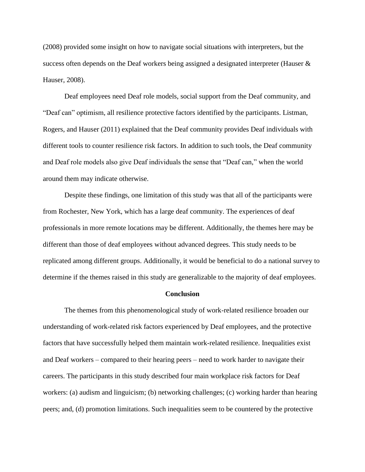(2008) provided some insight on how to navigate social situations with interpreters, but the success often depends on the Deaf workers being assigned a designated interpreter (Hauser & Hauser, 2008).

Deaf employees need Deaf role models, social support from the Deaf community, and "Deaf can" optimism, all resilience protective factors identified by the participants. Listman, Rogers, and Hauser (2011) explained that the Deaf community provides Deaf individuals with different tools to counter resilience risk factors. In addition to such tools, the Deaf community and Deaf role models also give Deaf individuals the sense that "Deaf can," when the world around them may indicate otherwise.

Despite these findings, one limitation of this study was that all of the participants were from Rochester, New York, which has a large deaf community. The experiences of deaf professionals in more remote locations may be different. Additionally, the themes here may be different than those of deaf employees without advanced degrees. This study needs to be replicated among different groups. Additionally, it would be beneficial to do a national survey to determine if the themes raised in this study are generalizable to the majority of deaf employees.

#### **Conclusion**

The themes from this phenomenological study of work-related resilience broaden our understanding of work-related risk factors experienced by Deaf employees, and the protective factors that have successfully helped them maintain work-related resilience. Inequalities exist and Deaf workers – compared to their hearing peers – need to work harder to navigate their careers. The participants in this study described four main workplace risk factors for Deaf workers: (a) audism and linguicism; (b) networking challenges; (c) working harder than hearing peers; and, (d) promotion limitations. Such inequalities seem to be countered by the protective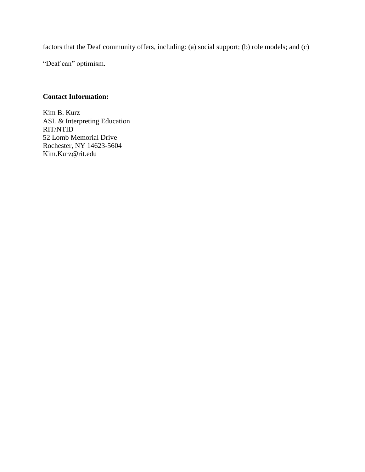factors that the Deaf community offers, including: (a) social support; (b) role models; and (c)

"Deaf can" optimism.

# **Contact Information:**

Kim B. Kurz ASL & Interpreting Education RIT/NTID 52 Lomb Memorial Drive Rochester, NY 14623-5604 Kim.Kurz@rit.edu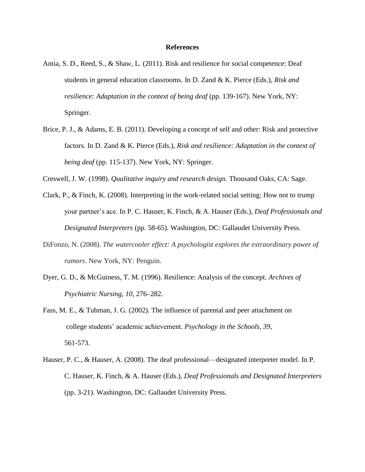### **References**

- Antia, S. D., Reed, S., & Shaw, L. (2011). Risk and resilience for social competence: Deaf students in general education classrooms. In D. Zand & K. Pierce (Eds.), *Risk and resilience: Adaptation in the context of being deaf* (pp. 139-167). New York, NY: Springer.
- Brice, P. J., & Adams, E. B. (2011). Developing a concept of self and other: Risk and protective factors. In D. Zand & K. Pierce (Eds.), *Risk and resilience: Adaptation in the context of being deaf* (pp. 115-137). New York, NY: Springer.
- Creswell, J. W. (1998). *Qualitative inquiry and research design*. Thousand Oaks, CA: Sage.
- Clark, P., & Finch, K. (2008). Interpreting in the work-related social setting: How not to trump your partner's ace. In P. C. Hauser, K. Finch, & A. Hauser (Eds.), *Deaf Professionals and Designated Interpreters* (pp. 58-65). Washington, DC: Gallaudet University Press.
- DiFonzo, N. (2008). *The watercooler effect: A psychologist explores the extraordinary power of rumors*. New York, NY: Penguin.
- Dyer, G. D., & McGuiness, T. M. (1996). Resilience: Analysis of the concept. *Archives of Psychiatric Nursing, 10*, 276–282.
- Fass, M. E., & Tubman, J. G. (2002). The influence of parental and peer attachment on college students' academic achievement. *Psychology in the Schools, 39*, 561-573.
- Hauser, P. C., & Hauser, A. (2008). The deaf professional—designated interpreter model. In P. C. Hauser, K. Finch, & A. Hauser (Eds.), *Deaf Professionals and Designated Interpreters* (pp. 3-21). Washington, DC: Gallaudet University Press.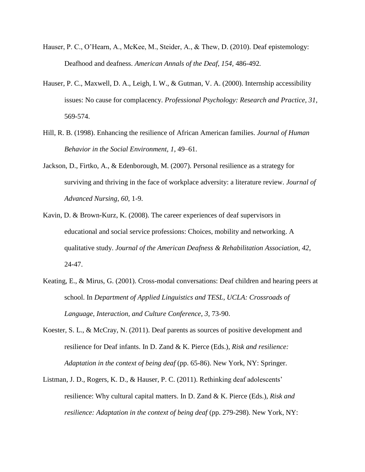- Hauser, P. C., O'Hearn, A., McKee, M., Steider, A., & Thew, D. (2010). Deaf epistemology: Deafhood and deafness. *American Annals of the Deaf, 154,* 486-492*.*
- Hauser, P. C., Maxwell, D. A., Leigh, I. W., & Gutman, V. A. (2000). Internship accessibility issues: No cause for complacency. *Professional Psychology: Research and Practice, 31*, 569-574.
- Hill, R. B. (1998). Enhancing the resilience of African American families. *Journal of Human Behavior in the Social Environment, 1*, 49–61.
- Jackson, D., Firtko, A., & Edenborough, M. (2007). Personal resilience as a strategy for surviving and thriving in the face of workplace adversity: a literature review. *Journal of Advanced Nursing*, *60*, 1-9.
- Kavin, D. & Brown-Kurz, K. (2008). The career experiences of deaf supervisors in educational and social service professions: Choices, mobility and networking. A qualitative study. *Journal of the American Deafness & Rehabilitation Association, 42*, 24-47.
- Keating, E., & Mirus, G. (2001). Cross-modal conversations: Deaf children and hearing peers at school. In *Department of Applied Linguistics and TESL, UCLA: Crossroads of Language, Interaction, and Culture Conference*, *3*, 73-90.
- Koester, S. L., & McCray, N. (2011). Deaf parents as sources of positive development and resilience for Deaf infants. In D. Zand & K. Pierce (Eds.), *Risk and resilience: Adaptation in the context of being deaf* (pp. 65-86). New York, NY: Springer.
- Listman, J. D., Rogers, K. D., & Hauser, P. C. (2011). Rethinking deaf adolescents' resilience: Why cultural capital matters. In D. Zand & K. Pierce (Eds.), *Risk and resilience: Adaptation in the context of being deaf* (pp. 279-298). New York, NY: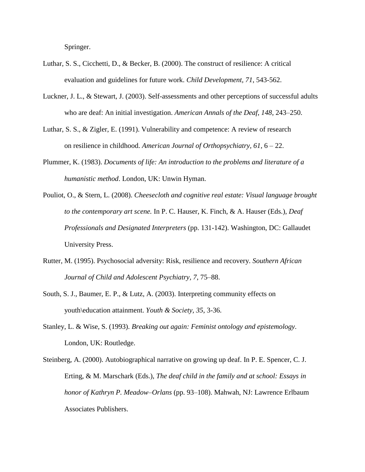Springer.

- Luthar, S. S., Cicchetti, D., & Becker, B. (2000). The construct of resilience: A critical evaluation and guidelines for future work. *Child Development, 71*, 543-562.
- Luckner, J. L., & Stewart, J. (2003). Self-assessments and other perceptions of successful adults who are deaf: An initial investigation. *American Annals of the Deaf, 148*, 243–250.
- Luthar, S. S., & Zigler, E. (1991). Vulnerability and competence: A review of research on resilience in childhood. *American Journal of Orthopsychiatry, 61*, 6 – 22.
- Plummer, K. (1983). *Documents of life: An introduction to the problems and literature of a humanistic method*. London, UK: Unwin Hyman.
- Pouliot, O., & Stern, L. (2008). *Cheesecloth and cognitive real estate: Visual language brought to the contemporary art scene.* In P. C. Hauser, K. Finch, & A. Hauser (Eds.), *Deaf Professionals and Designated Interpreters* (pp. 131-142). Washington, DC: Gallaudet University Press.
- Rutter, M. (1995). Psychosocial adversity: Risk, resilience and recovery. *Southern African Journal of Child and Adolescent Psychiatry, 7*, 75–88.
- South, S. J., Baumer, E. P., & Lutz, A. (2003). Interpreting community effects on youth\education attainment. *Youth & Society, 35*, 3-36.
- Stanley, L. & Wise, S. (1993). *Breaking out again: Feminist ontology and epistemology*. London, UK: Routledge.
- Steinberg, A. (2000). Autobiographical narrative on growing up deaf. In P. E. Spencer, C. J. Erting, & M. Marschark (Eds.), *The deaf child in the family and at school: Essays in honor of Kathryn P. Meadow–Orlans* (pp. 93–108). Mahwah, NJ: Lawrence Erlbaum Associates Publishers.